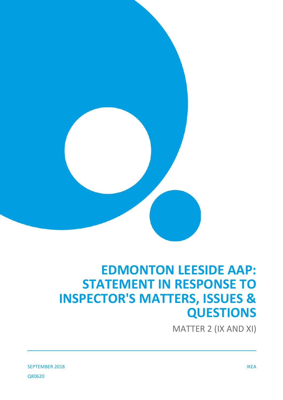

# **EDMONTON LEESIDE AAP: STATEMENT IN RESPONSE TO INSPECTOR'S MATTERS, ISSUES & QUESTIONS**

MATTER 2 (IX AND XI)

SEPTEMBER 2018 IKEA Q80620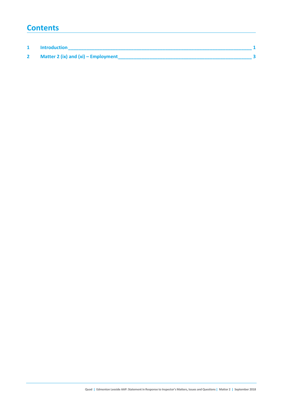### **Contents**

| <b>Introduction</b>                 |  |
|-------------------------------------|--|
| Matter 2 (ix) and (xi) – Employment |  |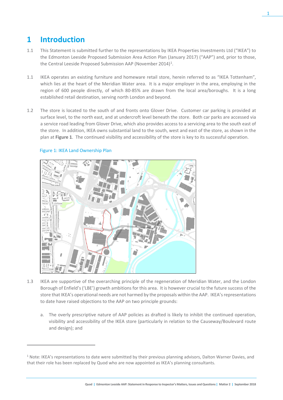## **1 Introduction**

- 1.1 This Statement is submitted further to the representations by IKEA Properties Investments Ltd ("IKEA") to the Edmonton Leeside Proposed Submission Area Action Plan (January 2017) ("AAP") and, prior to those, the Central Leeside Proposed Submission AAP (November 20[1](#page-2-0)4)<sup>1</sup>.
- 1.1 IKEA operates an existing furniture and homeware retail store, herein referred to as "IKEA Tottenham", which lies at the heart of the Meridian Water area. It is a major employer in the area, employing in the region of 600 people directly, of which 80-85% are drawn from the local area/boroughs. It is a long established retail destination, serving north London and beyond.
- 1.2 The store is located to the south of and fronts onto Glover Drive. Customer car parking is provided at surface level, to the north east, and at undercroft level beneath the store. Both car parks are accessed via a service road leading from Glover Drive, which also provides access to a servicing area to the south east of the store. In addition, IKEA owns substantial land to the south, west and east of the store, as shown in the plan at **Figure 1**. The continued visibility and accessibility of the store is key to its successful operation.



#### Figure 1: IKEA Land Ownership Plan

 $\overline{a}$ 

- 1.3 IKEA are supportive of the overarching principle of the regeneration of Meridian Water, and the London Borough of Enfield's ('LBE') growth ambitions for this area. It is however crucial to the future success of the store that IKEA's operational needs are not harmed by the proposals within the AAP. IKEA's representations to date have raised objections to the AAP on two principle grounds:
	- a. The overly prescriptive nature of AAP policies as drafted is likely to inhibit the continued operation, visibility and accessibility of the IKEA store (particularly in relation to the Causeway/Boulevard route and design); and

<span id="page-2-0"></span> $1$  Note: IKEA's representations to date were submitted by their previous planning advisors, Dalton Warner Davies, and that their role has been replaced by Quod who are now appointed as IKEA's planning consultants.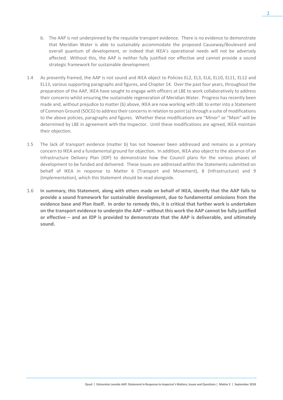- b. The AAP is not underpinned by the requisite transport evidence. There is no evidence to demonstrate that Meridian Water is able to sustainably accommodate the proposed Causeway/Boulevard and overall quantum of development, or indeed that IKEA's operational needs will not be adversely affected. Without this, the AAP is neither fully justified nor effective and cannot provide a sound strategic framework for sustainable development.
- 1.4 As presently framed, the AAP is not sound and IKEA object to Policies EL2, EL3, EL6, EL10, EL11, EL12 and EL13, various supporting paragraphs and figures, and Chapter 14. Over the past four years, throughout the preparation of the AAP, IKEA have sought to engage with officers at LBE to work collaboratively to address their concerns whilst ensuring the sustainable regeneration of Meridian Water. Progress has recently been made and, without prejudice to matter (b) above, IKEA are now working with LBE to enter into a Statement of Common Ground (SOCG) to address their concerns in relation to point (a) through a suite of modifications to the above policies, paragraphs and figures. Whether these modifications are "Minor" or "Main" will be determined by LBE in agreement with the Inspector. Until these modifications are agreed, IKEA maintain their objection.
- 1.5 The lack of transport evidence (matter b) has not however been addressed and remains as a primary concern to IKEA and a fundamental ground for objection. In addition, IKEA also object to the absence of an Infrastructure Delivery Plan (IDP) to demonstrate how the Council plans for the various phases of development to be funded and delivered. These issues are addressed within the Statements submitted on behalf of IKEA in response to Matter 6 (Transport and Movement), 8 (Infrastructure) and 9 (Implementation), which this Statement should be read alongside.
- 1.6 **In summary, this Statement, along with others made on behalf of IKEA, identify that the AAP fails to provide a sound framework for sustainable development, due to fundamental omissions from the evidence base and Plan itself. In order to remedy this, it is critical that further work is undertaken on the transport evidence to underpin the AAP – without this work the AAP cannot be fully justified or effective – and an IDP is provided to demonstrate that the AAP is deliverable, and ultimately sound.**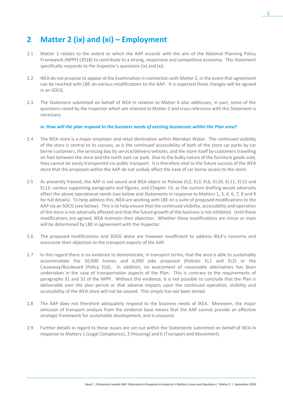## **2 Matter 2 (ix) and (xi) – Employment**

- 2.1 Matter 2 relates to the extent to which the AAP accords with the aim of the National Planning Policy Framework (NPPF) (2018) to contribute to a strong, responsive and competitive economy. This Statement specifically responds to the Inspector's questions (ix) and (xi).
- 2.2 IKEA do not propose to appear at the Examination in connection with Matter 2, in the event that agreement can be reached with LBE on various modifications to the AAP. It is expected these changes will be agreed in an SOCG.
- 2.3 The Statement submitted on behalf of IKEA in relation to Matter 6 also addresses, in part, some of the questions raised by the Inspector which are relevant to Matter 2 and cross reference with this Statement is necessary.

#### *ix. How will the plan respond to the business needs of existing businesses within the Plan area?*

- 2.4 The IKEA store is a major employer and retail destination within Meridian Water. The continued visibility of the store is central to its success, as is the continued accessibility of both of the store car parks by car borne customers, the servicing bay by service/delivery vehicles, and the store itself by customers travelling on foot between the store and the north east car park. Due to the bulky nature of the furniture goods sold, they cannot be easily transported via public transport. It is therefore vital to the future success of the IKEA store that the proposals within the AAP do not unduly affect the ease of car borne access to the store.
- 2.5 As presently framed, the AAP is not sound and IKEA object to Policies EL2, EL3, EL6, EL10, EL11, EL12 and EL13, various supporting paragraphs and figures, and Chapter 14, as the current drafting would adversely affect the above operational needs (see below and Statements in response to Matters 1, 3, 4, 6, 7, 8 and 9 for full details). To help address this, IKEA are working with LBE on a suite of proposed modifications to the AAP via an SOCG (see below). This is to help ensure that the continued visibility, accessibility and operation of the store is not adversely affected and that the future growth of the businessis not inhibited. Until these modifications are agreed, IKEA maintain their objection. Whether these modifications are minor or main will be determined by LBE in agreement with the Inspector.
- 2.6 The proposed modifications and SOCG alone are however insufficient to address IKEA's concerns and overcome their objection to the transport aspects of the AAP.
- 2.7 In this regard there is no evidence to demonstrate, in transport terms, that the area is able to sustainably accommodate the 10,000 homes and 6,000 jobs proposed (Policies EL1 and EL2) or the Causeway/Boulevard (Policy EL6). In addition, no assessment of reasonable alternatives has been undertaken in the case of transportation aspects of the Plan. This is contrary to the requirements of paragraphs 31 and 32 of the NPPF. Without this evidence, it is not possible to conclude that the Plan is deliverable over the plan period or that adverse impacts upon the continued operation, visibility and accessibility of the IKEA store will not be caused. This simply has not been tested.
- 2.8 The AAP does not therefore adequately respond to the business needs of IKEA. Moreover, the major omission of transport analysis from the evidence base means that the AAP cannot provide an effective strategic framework for sustainable development, and is unsound.
- 2.9 Further details in regard to these issues are set out within the Statements submitted on behalf of IKEA in response to Matters 1 (Legal Compliance), 3 (Housing) and 6 (Transport and Movement).